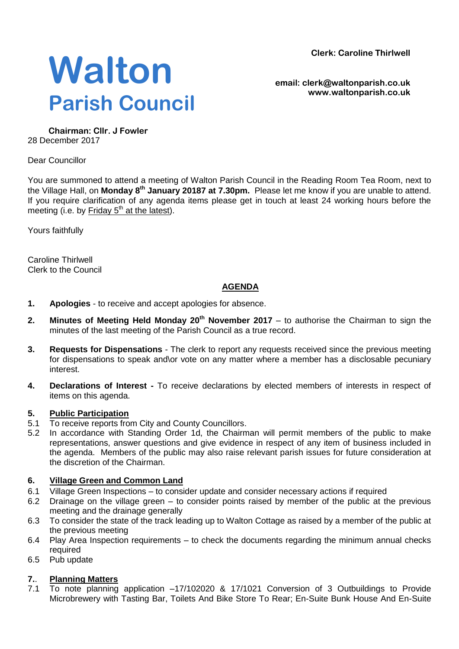**Clerk: Caroline Thirlwell**



**email: clerk@waltonparish.co.uk www.waltonparish.co.uk**

**Chairman: Cllr. J Fowler** 28 December 2017

Dear Councillor

You are summoned to attend a meeting of Walton Parish Council in the Reading Room Tea Room, next to the Village Hall, on **Monday 8 th January 20187 at 7.30pm.** Please let me know if you are unable to attend. If you require clarification of any agenda items please get in touch at least 24 working hours before the meeting (i.e. by Friday 5<sup>th</sup> at the latest).

Yours faithfully

Caroline Thirlwell Clerk to the Council

# **AGENDA**

- **1. Apologies** to receive and accept apologies for absence.
- **2. Minutes of Meeting Held Monday 20th November 2017** to authorise the Chairman to sign the minutes of the last meeting of the Parish Council as a true record.
- **3. Requests for Dispensations**  The clerk to report any requests received since the previous meeting for dispensations to speak and\or vote on any matter where a member has a disclosable pecuniary interest.
- **4. Declarations of Interest -** To receive declarations by elected members of interests in respect of items on this agenda.

#### **5. Public Participation**

- 5.1 To receive reports from City and County Councillors.
- 5.2 In accordance with Standing Order 1d, the Chairman will permit members of the public to make representations, answer questions and give evidence in respect of any item of business included in the agenda. Members of the public may also raise relevant parish issues for future consideration at the discretion of the Chairman.

#### **6. Village Green and Common Land**

- 6.1 Village Green Inspections to consider update and consider necessary actions if required
- 6.2 Drainage on the village green to consider points raised by member of the public at the previous meeting and the drainage generally
- 6.3 To consider the state of the track leading up to Walton Cottage as raised by a member of the public at the previous meeting
- 6.4 Play Area Inspection requirements to check the documents regarding the minimum annual checks required
- 6.5 Pub update

#### **7.**. **Planning Matters**

7.1 To note planning application –17/102020 & 17/1021 Conversion of 3 Outbuildings to Provide Microbrewery with Tasting Bar, Toilets And Bike Store To Rear; En-Suite Bunk House And En-Suite